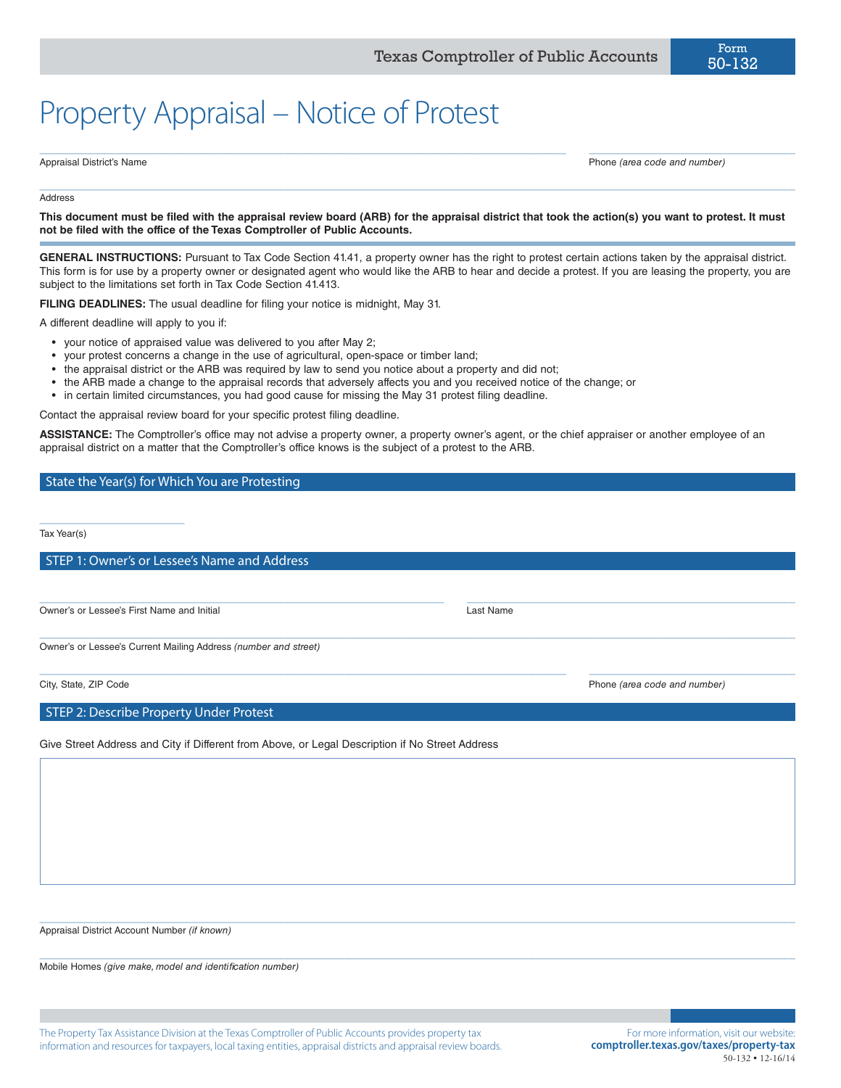# Property Appraisal – Notice of Protest

Appraisal District's Name Phone *(area code and number)*

#### Address

**This document must be filed with the appraisal review board (ARB) for the appraisal district that took the action(s) you want to protest. It must not be filed with the office of the Texas Comptroller of Public Accounts.**

 $\_$  ,  $\_$  ,  $\_$  ,  $\_$  ,  $\_$  ,  $\_$  ,  $\_$  ,  $\_$  ,  $\_$  ,  $\_$  ,  $\_$  ,  $\_$  ,  $\_$  ,  $\_$  ,  $\_$  ,  $\_$  ,  $\_$  ,  $\_$  ,  $\_$  ,  $\_$  ,  $\_$  ,  $\_$  ,  $\_$  ,  $\_$  ,  $\_$  ,  $\_$  ,  $\_$  ,  $\_$  ,  $\_$  ,  $\_$  ,  $\_$  ,  $\_$  ,  $\_$  ,  $\_$  ,  $\_$  ,  $\_$  ,  $\_$  ,

 $\_$  , and the set of the set of the set of the set of the set of the set of the set of the set of the set of the set of the set of the set of the set of the set of the set of the set of the set of the set of the set of th

**GENERAL INSTRUCTIONS:** Pursuant to Tax Code Section 41.41, a property owner has the right to protest certain actions taken by the appraisal district. This form is for use by a property owner or designated agent who would like the ARB to hear and decide a protest. If you are leasing the property, you are subject to the limitations set forth in Tax Code Section 41.413.

**FILING DEADLINES:** The usual deadline for filing your notice is midnight, May 31.

A different deadline will apply to you if:

- your notice of appraised value was delivered to you after May 2;
- your protest concerns a change in the use of agricultural, open-space or timber land;
- the appraisal district or the ARB was required by law to send you notice about a property and did not;
- the ARB made a change to the appraisal records that adversely affects you and you received notice of the change; or
- in certain limited circumstances, you had good cause for missing the May 31 protest filing deadline.

Contact the appraisal review board for your specific protest filing deadline.

**ASSISTANCE:** The Comptroller's office may not advise a property owner, a property owner's agent, or the chief appraiser or another employee of an appraisal district on a matter that the Comptroller's office knows is the subject of a protest to the ARB.

 $\_$  ,  $\_$  ,  $\_$  ,  $\_$  ,  $\_$  ,  $\_$  ,  $\_$  ,  $\_$  ,  $\_$  ,  $\_$  ,  $\_$  ,  $\_$  ,  $\_$  ,  $\_$  ,  $\_$  ,  $\_$  ,  $\_$  ,  $\_$  ,  $\_$  ,  $\_$  ,  $\_$  ,  $\_$  ,  $\_$  ,  $\_$  ,  $\_$  ,  $\_$  ,  $\_$  ,  $\_$  ,  $\_$  ,  $\_$  ,  $\_$  ,  $\_$  ,  $\_$  ,  $\_$  ,  $\_$  ,  $\_$  ,  $\_$  ,

 $\_$  , and the set of the set of the set of the set of the set of the set of the set of the set of the set of the set of the set of the set of the set of the set of the set of the set of the set of the set of the set of th

 $\_$  , and the set of the set of the set of the set of the set of the set of the set of the set of the set of the set of the set of the set of the set of the set of the set of the set of the set of the set of the set of th

 $\_$  , and the set of the set of the set of the set of the set of the set of the set of the set of the set of the set of the set of the set of the set of the set of the set of the set of the set of the set of the set of th

 $\_$  , and the set of the set of the set of the set of the set of the set of the set of the set of the set of the set of the set of the set of the set of the set of the set of the set of the set of the set of the set of th

#### State the Year(s) for Which You are Protesting

Tax Year(s)

STEP 1: Owner's or Lessee's Name and Address

Owner's or Lessee's First Name and Initial Last Name

\_\_\_\_\_\_\_\_\_\_\_\_\_\_\_\_\_\_\_

Owner's or Lessee's Current Mailing Address *(number and street)*

City, State, ZIP Code Phone *(area code and number)*

STEP 2: Describe Property Under Protest

Give Street Address and City if Different from Above, or Legal Description if No Street Address

Appraisal District Account Number *(if known)*

Mobile Homes *(give make, model and identification number)*